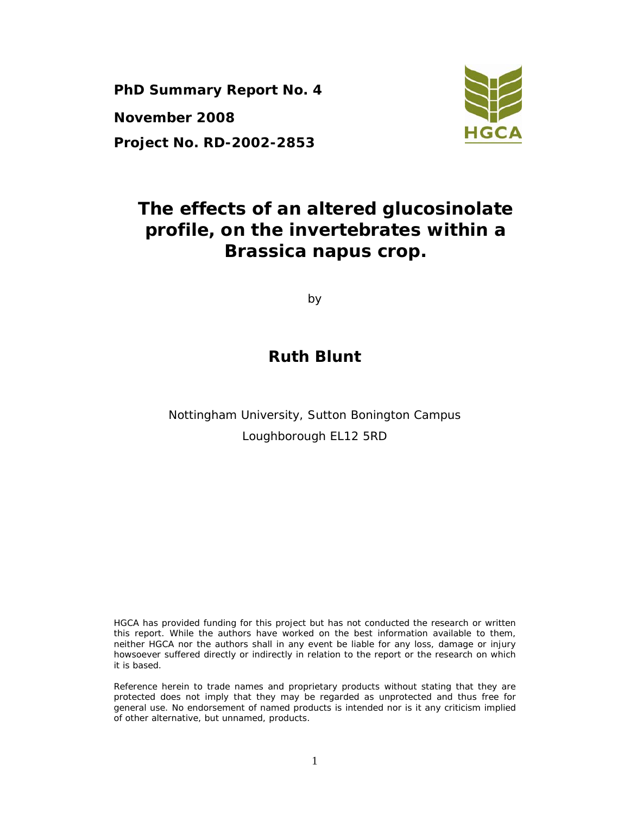**PhD Summary Report No. 4 November 2008 Project No. RD-2002-2853** 



# **The effects of an altered glucosinolate profile, on the invertebrates within a**  *Brassica napus* **crop.**

by

# **Ruth Blunt**

Nottingham University, Sutton Bonington Campus Loughborough EL12 5RD

HGCA has provided funding for this project but has not conducted the research or written this report. While the authors have worked on the best information available to them, neither HGCA nor the authors shall in any event be liable for any loss, damage or injury howsoever suffered directly or indirectly in relation to the report or the research on which it is based.

Reference herein to trade names and proprietary products without stating that they are protected does not imply that they may be regarded as unprotected and thus free for general use. No endorsement of named products is intended nor is it any criticism implied of other alternative, but unnamed, products.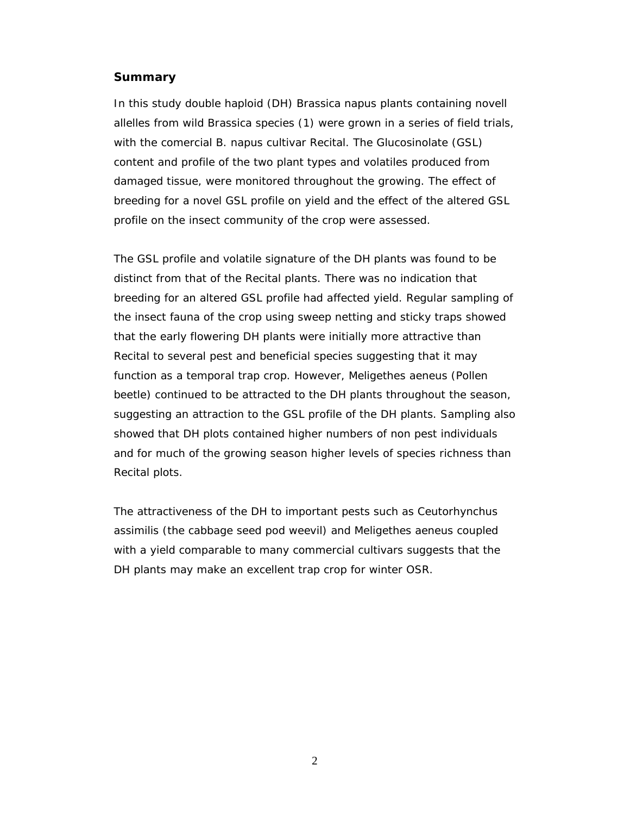#### **Summary**

In this study double haploid (DH) *Brassica napus* plants containing novell allelles from wild *Brassica* species (1) were grown in a series of field trials, with the comercial *B. napus* cultivar Recital. The Glucosinolate (GSL) content and profile of the two plant types and volatiles produced from damaged tissue, were monitored throughout the growing. The effect of breeding for a novel GSL profile on yield and the effect of the altered GSL profile on the insect community of the crop were assessed.

The GSL profile and volatile signature of the DH plants was found to be distinct from that of the Recital plants. There was no indication that breeding for an altered GSL profile had affected yield. Regular sampling of the insect fauna of the crop using sweep netting and sticky traps showed that the early flowering DH plants were initially more attractive than Recital to several pest and beneficial species suggesting that it may function as a temporal trap crop. However, *Meligethes aeneus* (Pollen beetle) continued to be attracted to the DH plants throughout the season, suggesting an attraction to the GSL profile of the DH plants. Sampling also showed that DH plots contained higher numbers of non pest individuals and for much of the growing season higher levels of species richness than Recital plots.

The attractiveness of the DH to important pests such as *Ceutorhynchus assimilis* (the cabbage seed pod weevil) and *Meligethes aeneus* coupled with a yield comparable to many commercial cultivars suggests that the DH plants may make an excellent trap crop for winter OSR.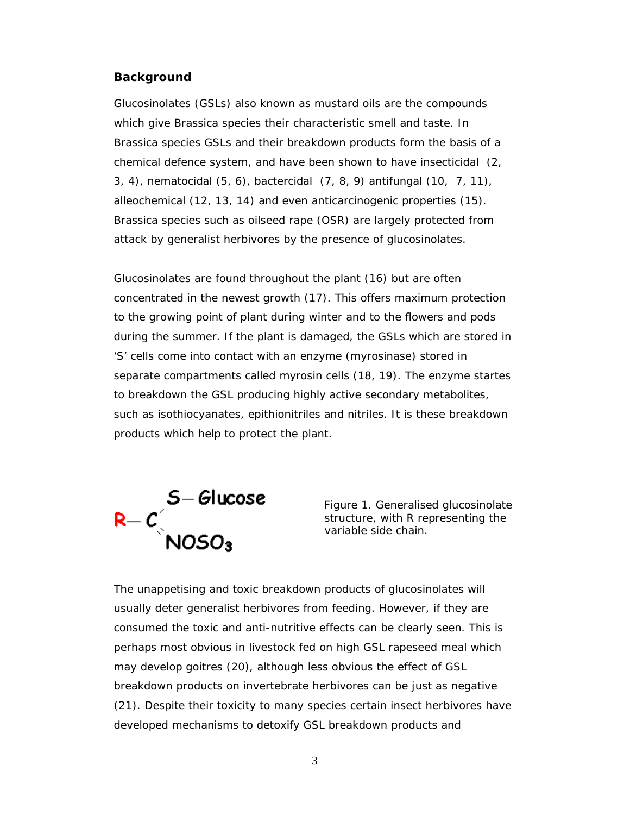#### **Background**

Glucosinolates (GSLs) also known as mustard oils are the compounds which give *Brassica* species their characteristic smell and taste. In *Brassica* species GSLs and their breakdown products form the basis of a chemical defence system, and have been shown to have insecticidal (2, 3, 4), nematocidal (5, 6), bactercidal (7, 8, 9) antifungal (10, 7, 11), alleochemical (12, 13, 14) and even anticarcinogenic properties (15). *Brassica* species such as oilseed rape (OSR) are largely protected from attack by generalist herbivores by the presence of glucosinolates.

Glucosinolates are found throughout the plant (16) but are often concentrated in the newest growth (17). This offers maximum protection to the growing point of plant during winter and to the flowers and pods during the summer. If the plant is damaged, the GSLs which are stored in 'S' cells come into contact with an enzyme (myrosinase) stored in separate compartments called myrosin cells (18, 19). The enzyme startes to breakdown the GSL producing highly active secondary metabolites, such as isothiocyanates, epithionitriles and nitriles. It is these breakdown products which help to protect the plant.



Figure 1. Generalised glucosinolate structure, with R representing the variable side chain.

The unappetising and toxic breakdown products of glucosinolates will usually deter generalist herbivores from feeding. However, if they are consumed the toxic and anti-nutritive effects can be clearly seen. This is perhaps most obvious in livestock fed on high GSL rapeseed meal which may develop goitres (20), although less obvious the effect of GSL breakdown products on invertebrate herbivores can be just as negative (21). Despite their toxicity to many species certain insect herbivores have developed mechanisms to detoxify GSL breakdown products and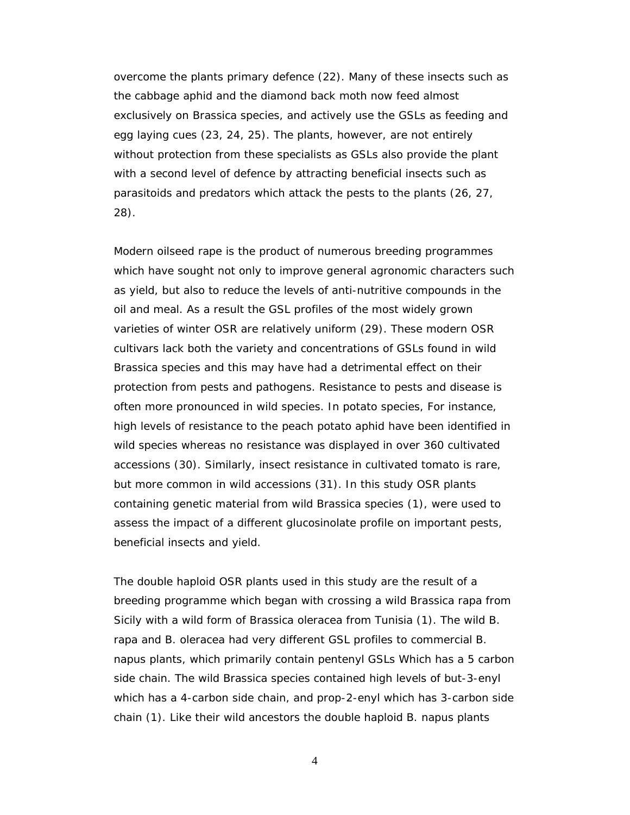overcome the plants primary defence (22). Many of these insects such as the cabbage aphid and the diamond back moth now feed almost exclusively on *Brassica* species, and actively use the GSLs as feeding and egg laying cues (23, 24, 25). The plants, however, are not entirely without protection from these specialists as GSLs also provide the plant with a second level of defence by attracting beneficial insects such as parasitoids and predators which attack the pests to the plants (26, 27, 28).

Modern oilseed rape is the product of numerous breeding programmes which have sought not only to improve general agronomic characters such as yield, but also to reduce the levels of anti-nutritive compounds in the oil and meal. As a result the GSL profiles of the most widely grown varieties of winter OSR are relatively uniform (29). These modern OSR cultivars lack both the variety and concentrations of GSLs found in wild *Brassica* species and this may have had a detrimental effect on their protection from pests and pathogens. Resistance to pests and disease is often more pronounced in wild species. In potato species, For instance, high levels of resistance to the peach potato aphid have been identified in wild species whereas no resistance was displayed in over 360 cultivated accessions (30). Similarly, insect resistance in cultivated tomato is rare, but more common in wild accessions (31). In this study OSR plants containing genetic material from wild *Brassica* species (1), were used to assess the impact of a different glucosinolate profile on important pests, beneficial insects and yield.

The double haploid OSR plants used in this study are the result of a breeding programme which began with crossing a wild *Brassica rapa* from Sicily with a wild form of *Brassica oleracea* from Tunisia (1). The wild *B. rapa* and *B. oleracea* had very different GSL profiles to commercial *B. napus* plants, which primarily contain pentenyl GSLs Which has a 5 carbon side chain. The wild *Brassica* species contained high levels of but-3-enyl which has a 4-carbon side chain, and prop-2-enyl which has 3-carbon side chain (1). Like their wild ancestors the double haploid *B. napus* plants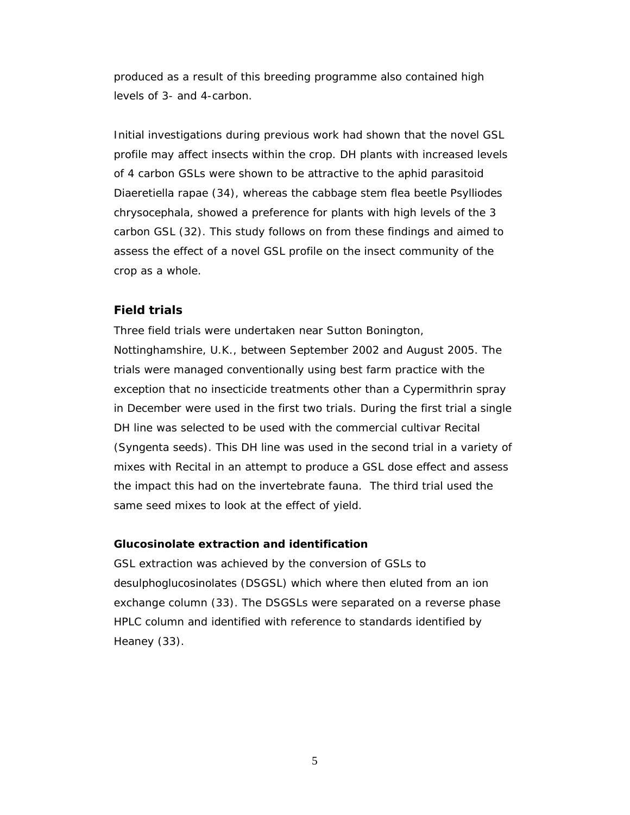produced as a result of this breeding programme also contained high levels of 3- and 4-carbon.

Initial investigations during previous work had shown that the novel GSL profile may affect insects within the crop. DH plants with increased levels of 4 carbon GSLs were shown to be attractive to the aphid parasitoid *Diaeretiella rapae* (34), whereas the cabbage stem flea beetle *Psylliodes chrysocephala*, showed a preference for plants with high levels of the 3 carbon GSL (32). This study follows on from these findings and aimed to assess the effect of a novel GSL profile on the insect community of the crop as a whole.

#### **Field trials**

Three field trials were undertaken near Sutton Bonington, Nottinghamshire, U.K., between September 2002 and August 2005. The trials were managed conventionally using best farm practice with the exception that no insecticide treatments other than a Cypermithrin spray in December were used in the first two trials. During the first trial a single DH line was selected to be used with the commercial cultivar Recital (Syngenta seeds). This DH line was used in the second trial in a variety of mixes with Recital in an attempt to produce a GSL dose effect and assess the impact this had on the invertebrate fauna. The third trial used the same seed mixes to look at the effect of yield.

### **Glucosinolate extraction and identification**

GSL extraction was achieved by the conversion of GSLs to desulphoglucosinolates (DSGSL) which where then eluted from an ion exchange column (33). The DSGSLs were separated on a reverse phase HPLC column and identified with reference to standards identified by Heaney (33).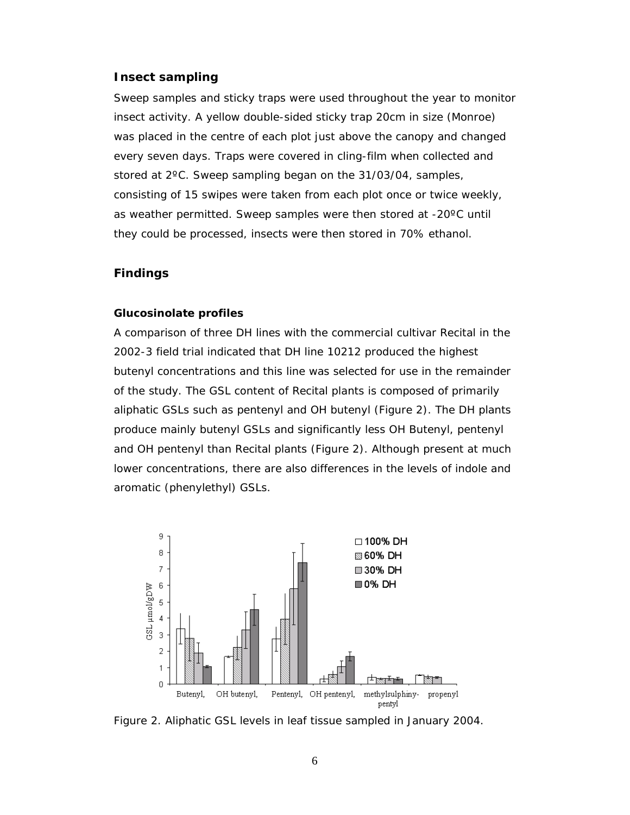#### **Insect sampling**

Sweep samples and sticky traps were used throughout the year to monitor insect activity. A yellow double-sided sticky trap 20cm in size (Monroe) was placed in the centre of each plot just above the canopy and changed every seven days. Traps were covered in cling-film when collected and stored at 2ºC. Sweep sampling began on the 31/03/04, samples, consisting of 15 swipes were taken from each plot once or twice weekly, as weather permitted. Sweep samples were then stored at -20ºC until they could be processed, insects were then stored in 70% ethanol.

#### **Findings**

#### **Glucosinolate profiles**

A comparison of three DH lines with the commercial cultivar Recital in the 2002-3 field trial indicated that DH line 10212 produced the highest butenyl concentrations and this line was selected for use in the remainder of the study. The GSL content of Recital plants is composed of primarily aliphatic GSLs such as pentenyl and OH butenyl (Figure 2). The DH plants produce mainly butenyl GSLs and significantly less OH Butenyl, pentenyl and OH pentenyl than Recital plants (Figure 2). Although present at much lower concentrations, there are also differences in the levels of indole and aromatic (phenylethyl) GSLs.



Figure 2. Aliphatic GSL levels in leaf tissue sampled in January 2004.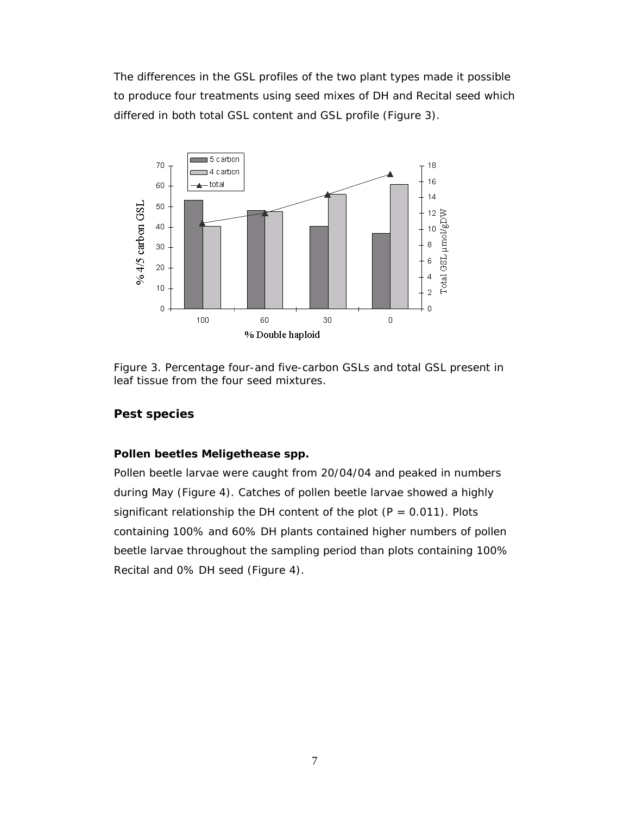The differences in the GSL profiles of the two plant types made it possible to produce four treatments using seed mixes of DH and Recital seed which differed in both total GSL content and GSL profile (Figure 3).



Figure 3. Percentage four-and five-carbon GSLs and total GSL present in leaf tissue from the four seed mixtures.

### **Pest species**

# **Pollen beetles** *Meligethease* **spp.**

Pollen beetle larvae were caught from 20/04/04 and peaked in numbers during May (Figure 4). Catches of pollen beetle larvae showed a highly significant relationship the DH content of the plot  $(P = 0.011)$ . Plots containing 100% and 60% DH plants contained higher numbers of pollen beetle larvae throughout the sampling period than plots containing 100% Recital and 0% DH seed (Figure 4).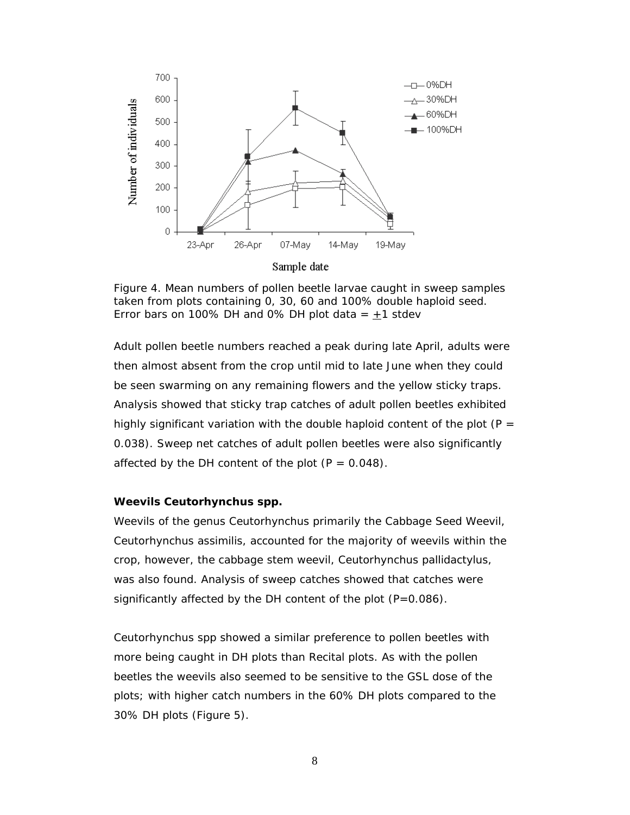

Figure 4. Mean numbers of pollen beetle larvae caught in sweep samples taken from plots containing 0, 30, 60 and 100% double haploid seed. Error bars on 100% DH and 0% DH plot data =  $\pm$ 1 stdev

Adult pollen beetle numbers reached a peak during late April, adults were then almost absent from the crop until mid to late June when they could be seen swarming on any remaining flowers and the yellow sticky traps. Analysis showed that sticky trap catches of adult pollen beetles exhibited highly significant variation with the double haploid content of the plot  $(P =$ 0.038). Sweep net catches of adult pollen beetles were also significantly affected by the DH content of the plot  $(P = 0.048)$ .

#### **Weevils** *Ceutorhynchus* **spp.**

Weevils of the genus *Ceutorhynchus* primarily the Cabbage Seed Weevil, *Ceutorhynchus assimilis,* accounted for the majority of weevils within the crop, however, the cabbage stem weevil, *Ceutorhynchus pallidactylus,* was also found. Analysis of sweep catches showed that catches were significantly affected by the DH content of the plot  $(P=0.086)$ .

*Ceutorhynchus* spp showed a similar preference to pollen beetles with more being caught in DH plots than Recital plots. As with the pollen beetles the weevils also seemed to be sensitive to the GSL dose of the plots; with higher catch numbers in the 60% DH plots compared to the 30% DH plots (Figure 5).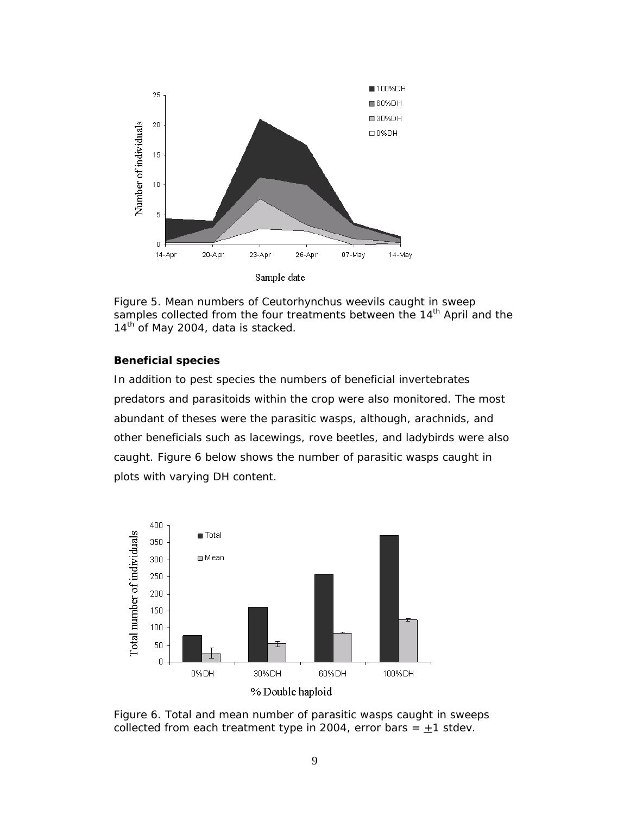

Figure 5. Mean numbers of *Ceutorhynchus* weevils caught in sweep samples collected from the four treatments between the 14<sup>th</sup> April and the 14<sup>th</sup> of May 2004, data is stacked.

#### **Beneficial species**

In addition to pest species the numbers of beneficial invertebrates predators and parasitoids within the crop were also monitored. The most abundant of theses were the parasitic wasps, although, *arachnids*, and other beneficials such as lacewings, rove beetles, and ladybirds were also caught. Figure 6 below shows the number of parasitic wasps caught in plots with varying DH content.



Figure 6. Total and mean number of parasitic wasps caught in sweeps collected from each treatment type in 2004, error bars =  $\pm$ 1 stdev.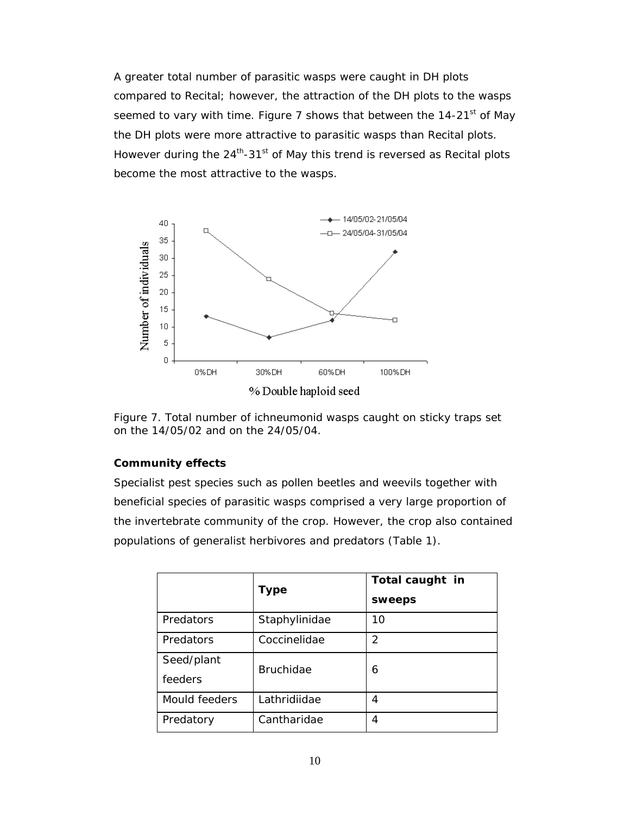A greater total number of parasitic wasps were caught in DH plots compared to Recital; however, the attraction of the DH plots to the wasps seemed to vary with time. Figure 7 shows that between the  $14-21<sup>st</sup>$  of May the DH plots were more attractive to parasitic wasps than Recital plots. However during the  $24^{th}$ -31<sup>st</sup> of May this trend is reversed as Recital plots become the most attractive to the wasps.



Figure 7. Total number of ichneumonid wasps caught on sticky traps set on the 14/05/02 and on the 24/05/04.

### **Community effects**

Specialist pest species such as pollen beetles and weevils together with beneficial species of parasitic wasps comprised a very large proportion of the invertebrate community of the crop. However, the crop also contained populations of generalist herbivores and predators (Table 1).

|                       | <b>Type</b>      | Total caught in<br>sweeps |
|-----------------------|------------------|---------------------------|
| Predators             | Staphylinidae    | 10                        |
| Predators             | Coccinelidae     | 2                         |
| Seed/plant<br>feeders | <b>Bruchidae</b> | 6                         |
| Mould feeders         | Lathridiidae     | 4                         |
| Predatory             | Cantharidae      | 4                         |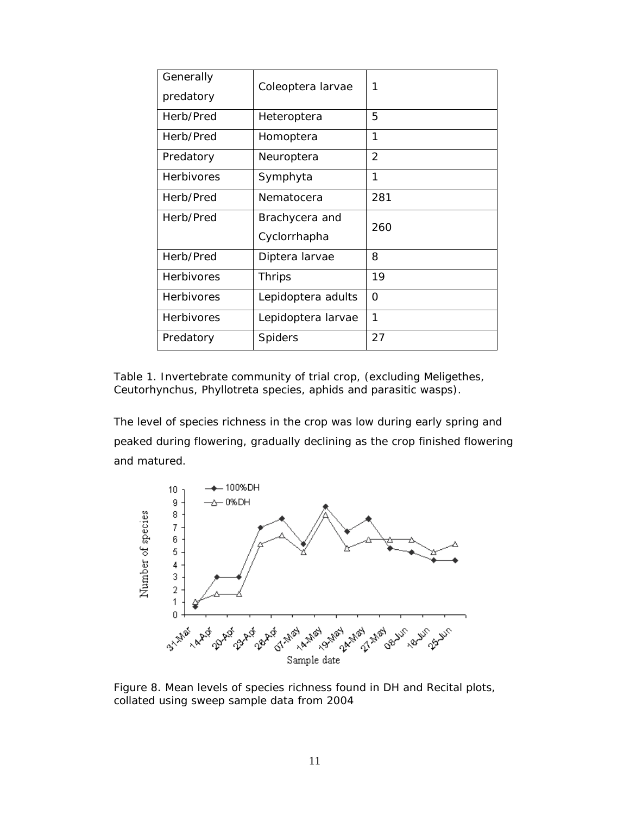| Generally         | Coleoptera larvae  | 1             |
|-------------------|--------------------|---------------|
| predatory         |                    |               |
| Herb/Pred         | Heteroptera        | 5             |
| Herb/Pred         | Homoptera          | 1             |
| Predatory         | Neuroptera         | $\mathcal{P}$ |
| <b>Herbivores</b> | Symphyta           | 1             |
| Herb/Pred         | Nematocera         | 281           |
| Herb/Pred         | Brachycera and     | 260           |
|                   | Cyclorrhapha       |               |
| Herb/Pred         | Diptera larvae     | 8             |
| <b>Herbivores</b> | <b>Thrips</b>      | 19            |
| <b>Herbivores</b> | Lepidoptera adults | O             |
| <b>Herbivores</b> | Lepidoptera larvae | 1             |
| Predatory         | <b>Spiders</b>     | 27            |

Table 1. Invertebrate community of trial crop, (excluding Meligethes, Ceutorhynchus, Phyllotreta species, aphids and parasitic wasps).

The level of species richness in the crop was low during early spring and peaked during flowering, gradually declining as the crop finished flowering and matured.



Figure 8. Mean levels of species richness found in DH and Recital plots, collated using sweep sample data from 2004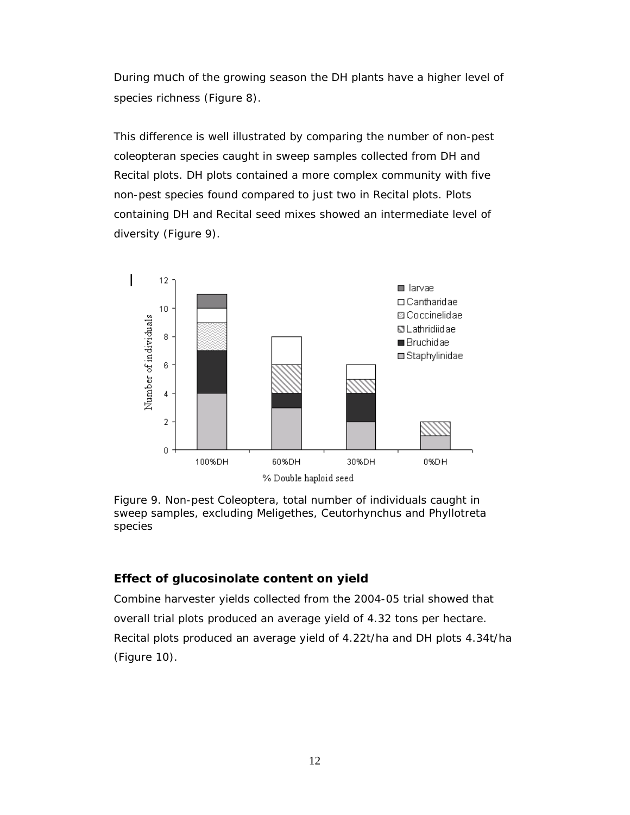During much of the growing season the DH plants have a higher level of species richness (Figure 8).

This difference is well illustrated by comparing the number of non-pest coleopteran species caught in sweep samples collected from DH and Recital plots. DH plots contained a more complex community with five non-pest species found compared to just two in Recital plots. Plots containing DH and Recital seed mixes showed an intermediate level of diversity (Figure 9).



Figure 9. Non-pest Coleoptera, total number of individuals caught in sweep samples, excluding Meligethes, Ceutorhynchus and Phyllotreta species

# **Effect of glucosinolate content on yield**

Combine harvester yields collected from the 2004-05 trial showed that overall trial plots produced an average yield of 4.32 tons per hectare. Recital plots produced an average yield of 4.22t/ha and DH plots 4.34t/ha (Figure 10).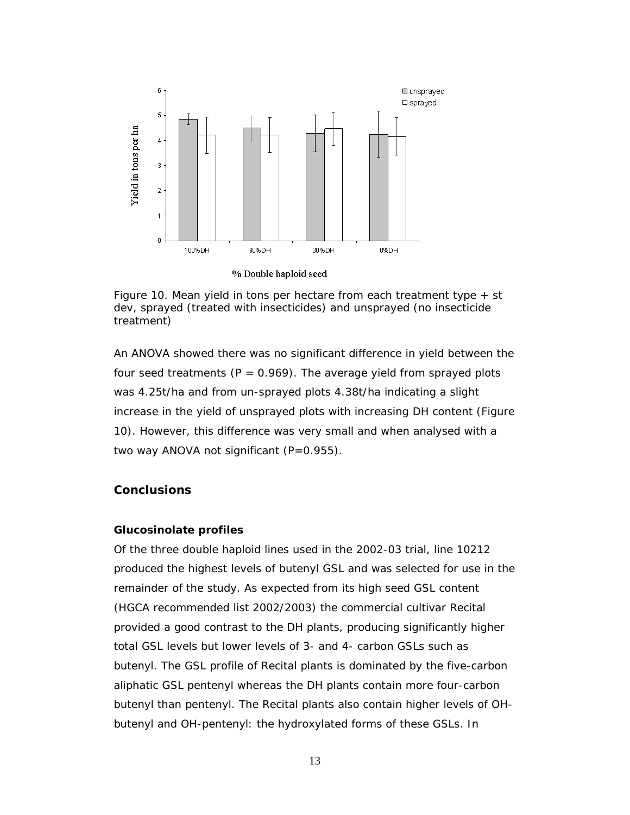

% Double haploid seed

Figure 10. Mean yield in tons per hectare from each treatment type  $+$  st dev, sprayed (treated with insecticides) and unsprayed (no insecticide treatment)

An ANOVA showed there was no significant difference in yield between the four seed treatments ( $P = 0.969$ ). The average yield from sprayed plots was 4.25t/ha and from un-sprayed plots 4.38t/ha indicating a slight increase in the yield of unsprayed plots with increasing DH content (Figure 10). However, this difference was very small and when analysed with a two way ANOVA not significant (P=0.955).

### **Conclusions**

#### **Glucosinolate profiles**

Of the three double haploid lines used in the 2002-03 trial, line 10212 produced the highest levels of butenyl GSL and was selected for use in the remainder of the study. As expected from its high seed GSL content (HGCA recommended list 2002/2003) the commercial cultivar Recital provided a good contrast to the DH plants, producing significantly higher total GSL levels but lower levels of 3- and 4- carbon GSLs such as butenyl. The GSL profile of Recital plants is dominated by the five-carbon aliphatic GSL pentenyl whereas the DH plants contain more four-carbon butenyl than pentenyl. The Recital plants also contain higher levels of OHbutenyl and OH-pentenyl: the hydroxylated forms of these GSLs. In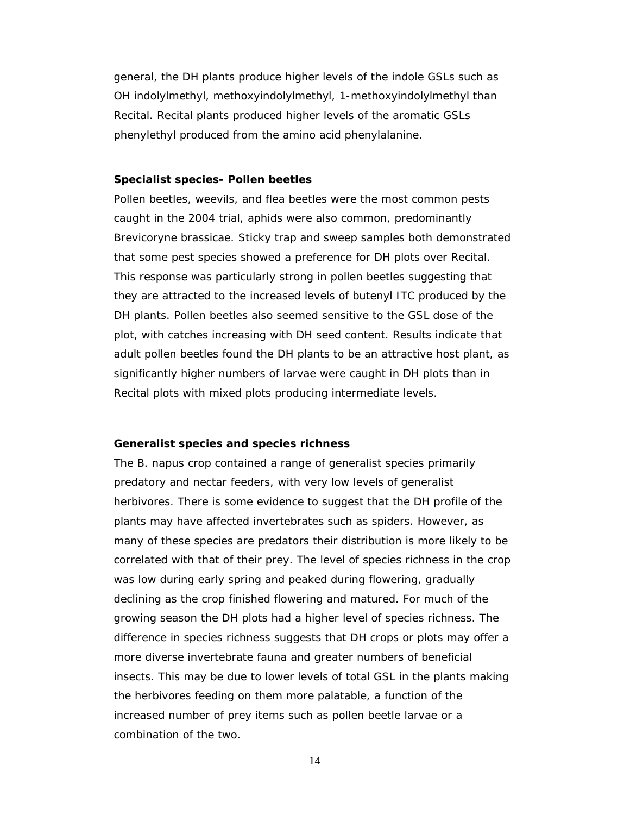general, the DH plants produce higher levels of the indole GSLs such as OH indolylmethyl, methoxyindolylmethyl, 1-methoxyindolylmethyl than Recital. Recital plants produced higher levels of the aromatic GSLs phenylethyl produced from the amino acid phenylalanine.

#### **Specialist species- Pollen beetles**

Pollen beetles, weevils, and flea beetles were the most common pests caught in the 2004 trial, aphids were also common, predominantly *Brevicoryne brassicae*. Sticky trap and sweep samples both demonstrated that some pest species showed a preference for DH plots over Recital. This response was particularly strong in pollen beetles suggesting that they are attracted to the increased levels of butenyl ITC produced by the DH plants. Pollen beetles also seemed sensitive to the GSL dose of the plot, with catches increasing with DH seed content. Results indicate that adult pollen beetles found the DH plants to be an attractive host plant, as significantly higher numbers of larvae were caught in DH plots than in Recital plots with mixed plots producing intermediate levels.

#### **Generalist species and species richness**

The *B. napus* crop contained a range of generalist species primarily predatory and nectar feeders, with very low levels of generalist herbivores. There is some evidence to suggest that the DH profile of the plants may have affected invertebrates such as spiders. However, as many of these species are predators their distribution is more likely to be correlated with that of their prey. The level of species richness in the crop was low during early spring and peaked during flowering, gradually declining as the crop finished flowering and matured. For much of the growing season the DH plots had a higher level of species richness. The difference in species richness suggests that DH crops or plots may offer a more diverse invertebrate fauna and greater numbers of beneficial insects. This may be due to lower levels of total GSL in the plants making the herbivores feeding on them more palatable, a function of the increased number of prey items such as pollen beetle larvae or a combination of the two.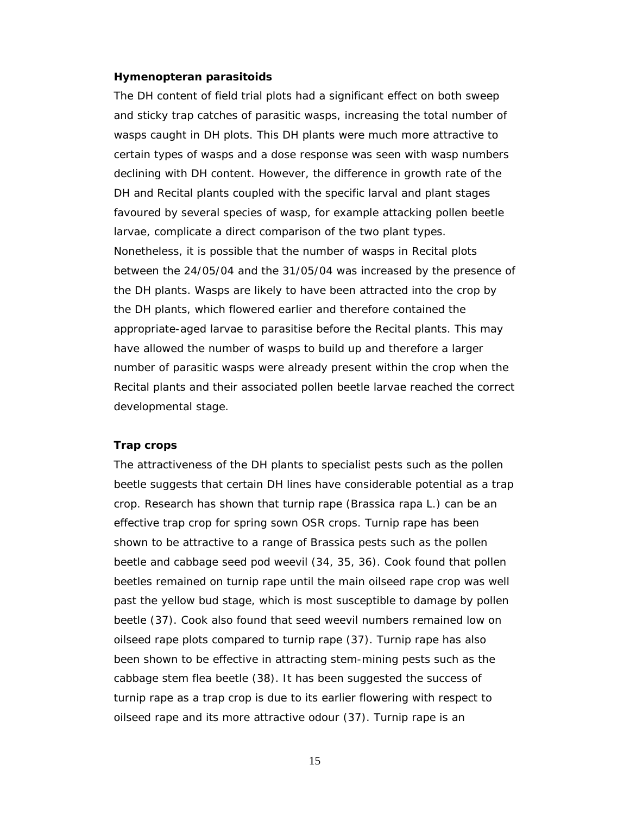#### **Hymenopteran parasitoids**

The DH content of field trial plots had a significant effect on both sweep and sticky trap catches of parasitic wasps, increasing the total number of wasps caught in DH plots. This DH plants were much more attractive to certain types of wasps and a dose response was seen with wasp numbers declining with DH content. However, the difference in growth rate of the DH and Recital plants coupled with the specific larval and plant stages favoured by several species of wasp, for example attacking pollen beetle larvae, complicate a direct comparison of the two plant types. Nonetheless, it is possible that the number of wasps in Recital plots between the 24/05/04 and the 31/05/04 was increased by the presence of the DH plants. Wasps are likely to have been attracted into the crop by the DH plants, which flowered earlier and therefore contained the appropriate-aged larvae to parasitise before the Recital plants. This may have allowed the number of wasps to build up and therefore a larger number of parasitic wasps were already present within the crop when the Recital plants and their associated pollen beetle larvae reached the correct developmental stage.

#### **Trap crops**

The attractiveness of the DH plants to specialist pests such as the pollen beetle suggests that certain DH lines have considerable potential as a trap crop. Research has shown that turnip rape (*Brassica rapa* L*.)* can be an effective trap crop for spring sown OSR crops. Turnip rape has been shown to be attractive to a range of *Brassica* pests such as the pollen beetle and cabbage seed pod weevil (34, 35, 36). Cook found that pollen beetles remained on turnip rape until the main oilseed rape crop was well past the yellow bud stage, which is most susceptible to damage by pollen beetle (37). Cook also found that seed weevil numbers remained low on oilseed rape plots compared to turnip rape (37). Turnip rape has also been shown to be effective in attracting stem-mining pests such as the cabbage stem flea beetle (38). It has been suggested the success of turnip rape as a trap crop is due to its earlier flowering with respect to oilseed rape and its more attractive odour (37). Turnip rape is an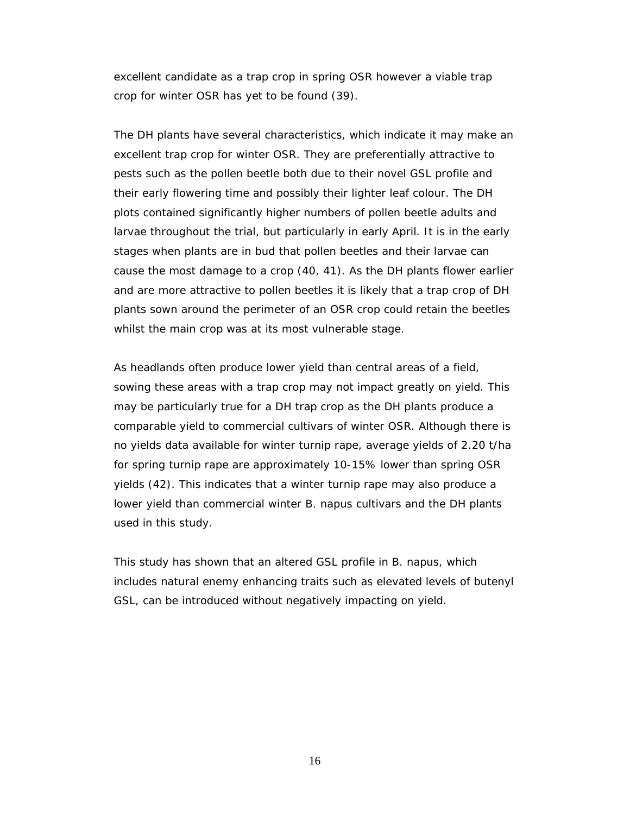excellent candidate as a trap crop in spring OSR however a viable trap crop for winter OSR has yet to be found (39).

The DH plants have several characteristics, which indicate it may make an excellent trap crop for winter OSR. They are preferentially attractive to pests such as the pollen beetle both due to their novel GSL profile and their early flowering time and possibly their lighter leaf colour. The DH plots contained significantly higher numbers of pollen beetle adults and larvae throughout the trial, but particularly in early April. It is in the early stages when plants are in bud that pollen beetles and their larvae can cause the most damage to a crop (40, 41). As the DH plants flower earlier and are more attractive to pollen beetles it is likely that a trap crop of DH plants sown around the perimeter of an OSR crop could retain the beetles whilst the main crop was at its most vulnerable stage.

As headlands often produce lower yield than central areas of a field, sowing these areas with a trap crop may not impact greatly on yield. This may be particularly true for a DH trap crop as the DH plants produce a comparable yield to commercial cultivars of winter OSR. Although there is no yields data available for winter turnip rape, average yields of 2.20 t/ha for spring turnip rape are approximately 10-15% lower than spring OSR yields (42). This indicates that a winter turnip rape may also produce a lower yield than commercial winter *B. napus* cultivars and the DH plants used in this study.

This study has shown that an altered GSL profile in *B. napus*, which includes natural enemy enhancing traits such as elevated levels of butenyl GSL, can be introduced without negatively impacting on yield.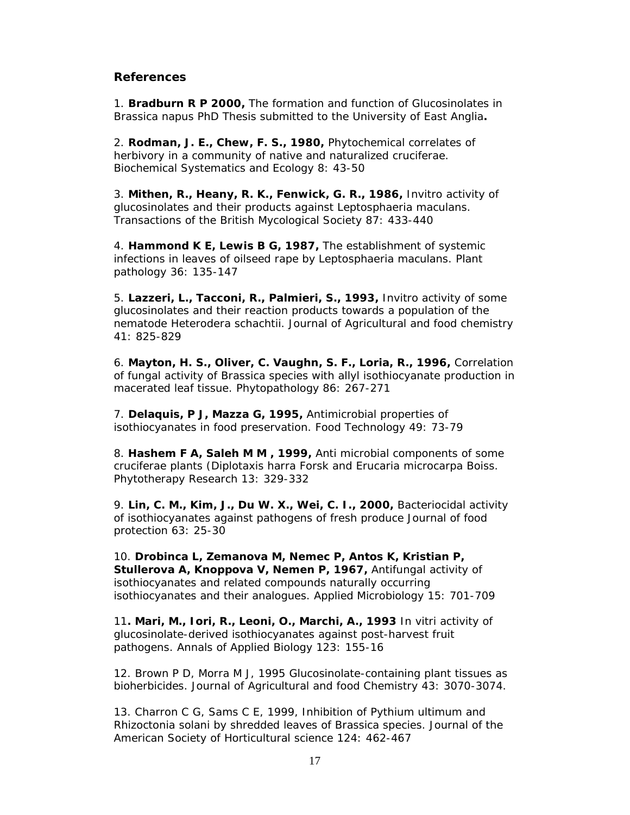# **References**

1. **Bradburn R P 2000,** The formation and function of Glucosinolates in *Brassica napus* PhD Thesis submitted to the University of East Anglia**.** 

2. **Rodman, J. E., Chew, F. S., 1980,** Phytochemical correlates of herbivory in a community of native and naturalized cruciferae. Biochemical Systematics and Ecology 8: 43-50

3. **Mithen, R., Heany, R. K., Fenwick, G. R., 1986,** Invitro activity of glucosinolates and their products against *Leptosphaeria maculans.* Transactions of the British Mycological Society 87: 433-440

4. **Hammond K E, Lewis B G, 1987,** The establishment of systemic infections in leaves of oilseed rape by *Leptosphaeria maculans.* Plant pathology 36: 135-147

5. **Lazzeri, L., Tacconi, R., Palmieri, S., 1993,** Invitro activity of some glucosinolates and their reaction products towards a population of the nematode Heterodera schachtii. Journal of Agricultural and food chemistry 41: 825-829

6. **Mayton, H. S., Oliver, C. Vaughn, S. F., Loria, R., 1996,** Correlation of fungal activity of Brassica species with allyl isothiocyanate production in macerated leaf tissue. Phytopathology 86: 267-271

7. **Delaquis, P J, Mazza G, 1995,** Antimicrobial properties of isothiocyanates in food preservation. Food Technology 49: 73-79

8. **Hashem F A, Saleh M M , 1999,** Anti microbial components of some cruciferae plants (Diplotaxis harra Forsk and Erucaria microcarpa Boiss. Phytotherapy Research 13: 329-332

9. **Lin, C. M., Kim, J., Du W. X., Wei, C. I., 2000,** Bacteriocidal activity of isothiocyanates against pathogens of fresh produce Journal of food protection 63: 25-30

10. **Drobinca L, Zemanova M, Nemec P, Antos K, Kristian P, Stullerova A, Knoppova V, Nemen P, 1967,** Antifungal activity of isothiocyanates and related compounds naturally occurring isothiocyanates and their analogues. Applied Microbiology 15: 701-709

11**. Mari, M., Iori, R., Leoni, O., Marchi, A., 1993** In vitri activity of glucosinolate-derived isothiocyanates against post-harvest fruit pathogens. Annals of Applied Biology 123: 155-16

12. Brown P D, Morra M J, 1995 Glucosinolate-containing plant tissues as bioherbicides. Journal of Agricultural and food Chemistry 43: 3070-3074.

13. Charron C G, Sams C E, 1999, Inhibition of *Pythium ultimum* and *Rhizoctonia solani* by shredded leaves of Brassica species. Journal of the American Society of Horticultural science 124: 462-467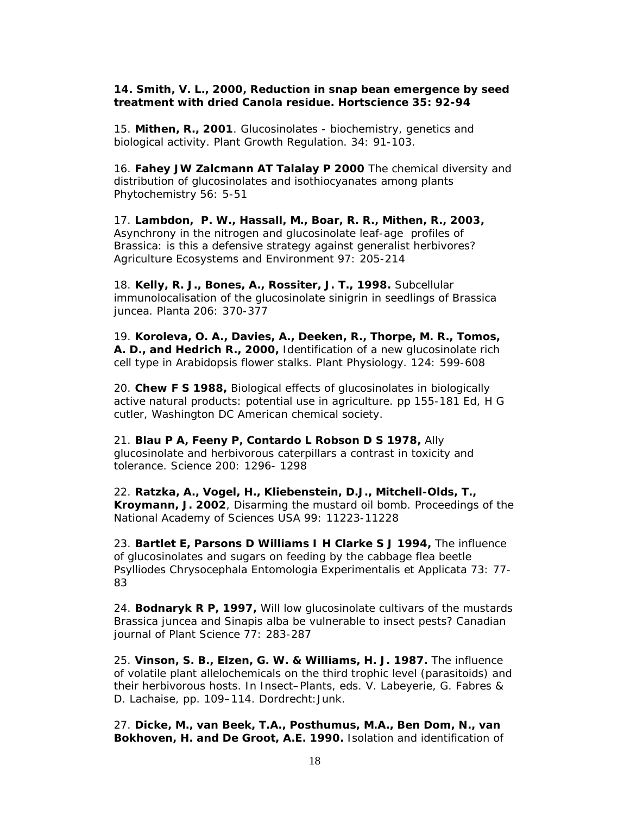#### **14. Smith, V. L., 2000, Reduction in snap bean emergence by seed treatment with dried Canola residue. Hortscience 35: 92-94**

15. **Mithen, R., 2001**. Glucosinolates - biochemistry, genetics and biological activity. Plant Growth Regulation. 34: 91-103.

16. **Fahey JW Zalcmann AT Talalay P 2000** The chemical diversity and distribution of glucosinolates and isothiocyanates among plants Phytochemistry 56: 5-51

17. **Lambdon, P. W., Hassall, M., Boar, R. R., Mithen, R., 2003,** Asynchrony in the nitrogen and glucosinolate leaf-age profiles of Brassica: is this a defensive strategy against generalist herbivores? Agriculture Ecosystems and Environment 97: 205-214

18. **Kelly, R. J., Bones, A., Rossiter, J. T., 1998.** Subcellular immunolocalisation of the glucosinolate sinigrin in seedlings of *Brassica juncea.* Planta 206: 370-377

19. **Koroleva, O. A., Davies, A., Deeken, R., Thorpe, M. R., Tomos, A. D., and Hedrich R., 2000,** Identification of a new glucosinolate rich cell type in Arabidopsis flower stalks. Plant Physiology. 124: 599-608

20. **Chew F S 1988,** Biological effects of glucosinolates in biologically active natural products: potential use in agriculture. pp 155-181 Ed, H G cutler, Washington DC American chemical society.

21. **Blau P A, Feeny P, Contardo L Robson D S 1978,** Ally glucosinolate and herbivorous caterpillars a contrast in toxicity and tolerance. Science 200: 1296- 1298

22. **Ratzka, A., Vogel, H., Kliebenstein, D.J., Mitchell-Olds, T., Kroymann, J. 2002**, Disarming the mustard oil bomb. Proceedings of the National Academy of Sciences USA 99: 11223-11228

23. **Bartlet E, Parsons D Williams I H Clarke S J 1994,** The influence of glucosinolates and sugars on feeding by the cabbage flea beetle *Psylliodes Chrysocephala* Entomologia Experimentalis et Applicata 73: 77- 83

24. **Bodnaryk R P, 1997,** Will low glucosinolate cultivars of the mustards *Brassica juncea* and *Sinapis alba* be vulnerable to insect pests? Canadian journal of Plant Science 77: 283-287

25. **Vinson, S. B., Elzen, G. W. & Williams, H. J. 1987.** The influence of volatile plant allelochemicals on the third trophic level (parasitoids) and their herbivorous hosts. In *Insect–Plants*, eds. V. Labeyerie, G. Fabres & D. Lachaise, pp. 109–114. Dordrecht:Junk.

27. **Dicke, M., van Beek, T.A., Posthumus, M.A., Ben Dom, N., van Bokhoven, H. and De Groot, A.E. 1990.** Isolation and identification of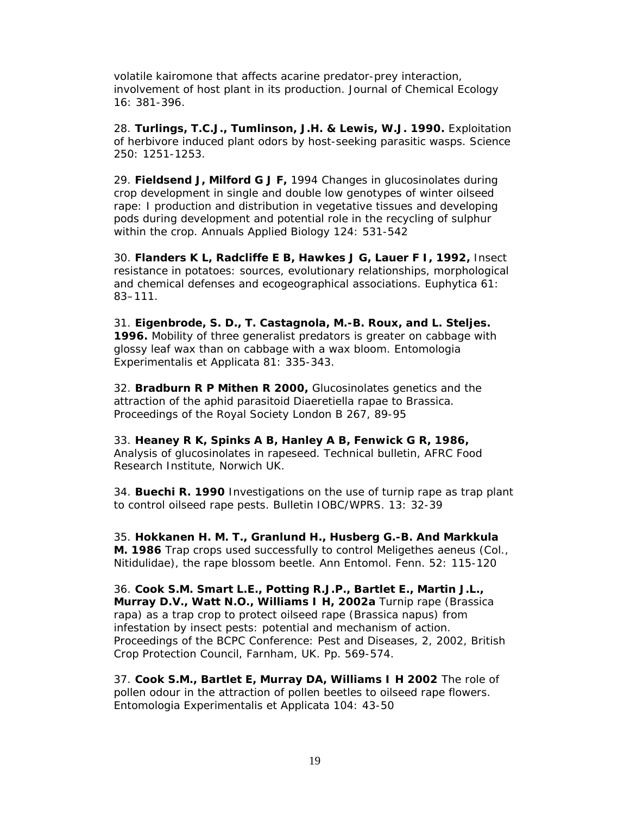volatile kairomone that affects acarine predator-prey interaction, involvement of host plant in its production. Journal of Chemical Ecology 16: 381-396.

28. **Turlings, T.C.J., Tumlinson, J.H. & Lewis, W.J. 1990.** Exploitation of herbivore induced plant odors by host-seeking parasitic wasps. Science 250: 1251-1253.

29. **Fieldsend J, Milford G J F,** 1994 Changes in glucosinolates during crop development in single and double low genotypes of winter oilseed rape: I production and distribution in vegetative tissues and developing pods during development and potential role in the recycling of sulphur within the crop. Annuals Applied Biology 124: 531-542

30. **Flanders K L, Radcliffe E B, Hawkes J G, Lauer F I, 1992,** Insect resistance in potatoes: sources, evolutionary relationships, morphological and chemical defenses and ecogeographical associations. Euphytica 61: 83–111.

31. **Eigenbrode, S. D., T. Castagnola, M.-B. Roux, and L. Steljes. 1996.** Mobility of three generalist predators is greater on cabbage with glossy leaf wax than on cabbage with a wax bloom. Entomologia Experimentalis et Applicata 81: 335-343.

32. **Bradburn R P Mithen R 2000,** Glucosinolates genetics and the attraction of the aphid parasitoid *Diaeretiella rapae* to *Brassica*. Proceedings of the Royal Society London B 267, 89-95

33. **Heaney R K, Spinks A B, Hanley A B, Fenwick G R, 1986,** Analysis of glucosinolates in rapeseed. Technical bulletin, AFRC Food Research Institute, Norwich UK.

34. **Buechi R. 1990** Investigations on the use of turnip rape as trap plant to control oilseed rape pests. Bulletin IOBC/WPRS. 13: 32-39

35. **Hokkanen H. M. T., Granlund H., Husberg G.-B. And Markkula M. 1986** Trap crops used successfully to control *Meligethes aeneus* (Col., Nitidulidae), the rape blossom beetle. Ann Entomol. Fenn. 52: 115-120

36. **Cook S.M. Smart L.E., Potting R.J.P., Bartlet E., Martin J.L., Murray D.V., Watt N.O., Williams I H, 2002a** Turnip rape (*Brassica rapa*) as a trap crop to protect oilseed rape (*Brassica napus*) from infestation by insect pests: potential and mechanism of action. Proceedings of the BCPC Conference: Pest and Diseases, 2, 2002, British Crop Protection Council, Farnham, UK. Pp. 569-574.

37. **Cook S.M., Bartlet E, Murray DA, Williams I H 2002** The role of pollen odour in the attraction of pollen beetles to oilseed rape flowers. Entomologia Experimentalis et Applicata 104: 43-50